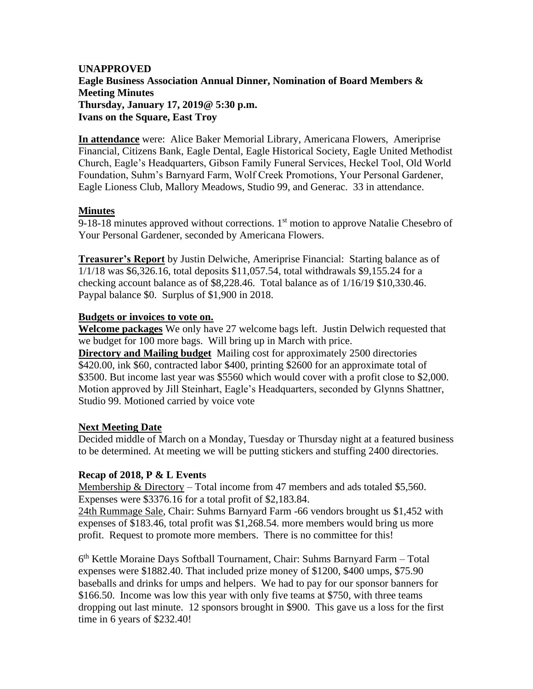# **UNAPPROVED Eagle Business Association Annual Dinner, Nomination of Board Members & Meeting Minutes Thursday, January 17, 2019@ 5:30 p.m. Ivans on the Square, East Troy**

**In attendance** were: Alice Baker Memorial Library, Americana Flowers, Ameriprise Financial, Citizens Bank, Eagle Dental, Eagle Historical Society, Eagle United Methodist Church, Eagle's Headquarters, Gibson Family Funeral Services, Heckel Tool, Old World Foundation, Suhm's Barnyard Farm, Wolf Creek Promotions, Your Personal Gardener, Eagle Lioness Club, Mallory Meadows, Studio 99, and Generac. 33 in attendance.

### **Minutes**

9-18-18 minutes approved without corrections.  $1<sup>st</sup>$  motion to approve Natalie Chesebro of Your Personal Gardener, seconded by Americana Flowers.

**Treasurer's Report** by Justin Delwiche, Ameriprise Financial: Starting balance as of 1/1/18 was \$6,326.16, total deposits \$11,057.54, total withdrawals \$9,155.24 for a checking account balance as of \$8,228.46. Total balance as of 1/16/19 \$10,330.46. Paypal balance \$0. Surplus of \$1,900 in 2018.

### **Budgets or invoices to vote on.**

**Welcome packages** We only have 27 welcome bags left. Justin Delwich requested that we budget for 100 more bags. Will bring up in March with price.

**Directory and Mailing budget** Mailing cost for approximately 2500 directories \$420.00, ink \$60, contracted labor \$400, printing \$2600 for an approximate total of \$3500. But income last year was \$5560 which would cover with a profit close to \$2,000. Motion approved by Jill Steinhart, Eagle's Headquarters, seconded by Glynns Shattner, Studio 99. Motioned carried by voice vote

# **Next Meeting Date**

Decided middle of March on a Monday, Tuesday or Thursday night at a featured business to be determined. At meeting we will be putting stickers and stuffing 2400 directories.

# **Recap of 2018, P & L Events**

Membership & Directory – Total income from 47 members and ads totaled \$5,560. Expenses were \$3376.16 for a total profit of \$2,183.84.

24th Rummage Sale, Chair: Suhms Barnyard Farm -66 vendors brought us \$1,452 with expenses of \$183.46, total profit was \$1,268.54. more members would bring us more profit. Request to promote more members. There is no committee for this!

6<sup>th</sup> Kettle Moraine Days Softball Tournament, Chair: Suhms Barnyard Farm - Total expenses were \$1882.40. That included prize money of \$1200, \$400 umps, \$75.90 baseballs and drinks for umps and helpers. We had to pay for our sponsor banners for \$166.50. Income was low this year with only five teams at \$750, with three teams dropping out last minute. 12 sponsors brought in \$900. This gave us a loss for the first time in 6 years of \$232.40!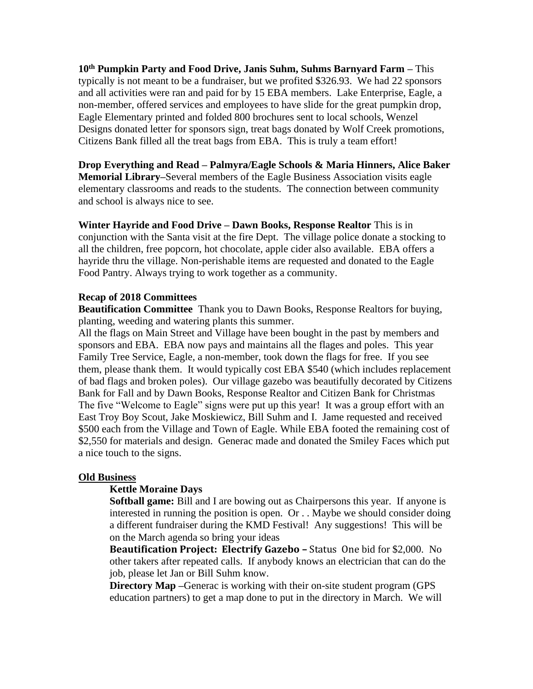**10th Pumpkin Party and Food Drive, Janis Suhm, Suhms Barnyard Farm –** This typically is not meant to be a fundraiser, but we profited \$326.93. We had 22 sponsors and all activities were ran and paid for by 15 EBA members. Lake Enterprise, Eagle, a non-member, offered services and employees to have slide for the great pumpkin drop, Eagle Elementary printed and folded 800 brochures sent to local schools, Wenzel Designs donated letter for sponsors sign, treat bags donated by Wolf Creek promotions, Citizens Bank filled all the treat bags from EBA. This is truly a team effort!

**Drop Everything and Read – Palmyra/Eagle Schools & Maria Hinners, Alice Baker Memorial Library–**Several members of the Eagle Business Association visits eagle elementary classrooms and reads to the students. The connection between community and school is always nice to see.

**Winter Hayride and Food Drive – Dawn Books, Response Realtor** This is in conjunction with the Santa visit at the fire Dept. The village police donate a stocking to all the children, free popcorn, hot chocolate, apple cider also available. EBA offers a hayride thru the village. Non-perishable items are requested and donated to the Eagle Food Pantry. Always trying to work together as a community.

### **Recap of 2018 Committees**

**Beautification Committee** Thank you to Dawn Books, Response Realtors for buying, planting, weeding and watering plants this summer.

All the flags on Main Street and Village have been bought in the past by members and sponsors and EBA. EBA now pays and maintains all the flages and poles. This year Family Tree Service, Eagle, a non-member, took down the flags for free. If you see them, please thank them. It would typically cost EBA \$540 (which includes replacement of bad flags and broken poles). Our village gazebo was beautifully decorated by Citizens Bank for Fall and by Dawn Books, Response Realtor and Citizen Bank for Christmas The five "Welcome to Eagle" signs were put up this year! It was a group effort with an East Troy Boy Scout, Jake Moskiewicz, Bill Suhm and I. Jame requested and received \$500 each from the Village and Town of Eagle. While EBA footed the remaining cost of \$2,550 for materials and design. Generac made and donated the Smiley Faces which put a nice touch to the signs.

#### **Old Business**

#### **Kettle Moraine Days**

**Softball game:** Bill and I are bowing out as Chairpersons this year. If anyone is interested in running the position is open. Or . . Maybe we should consider doing a different fundraiser during the KMD Festival! Any suggestions! This will be on the March agenda so bring your ideas

**Beautification Project: Electrify Gazebo –** Status One bid for \$2,000. No other takers after repeated calls. If anybody knows an electrician that can do the job, please let Jan or Bill Suhm know.

**Directory Map** –Generac is working with their on-site student program (GPS education partners) to get a map done to put in the directory in March. We will